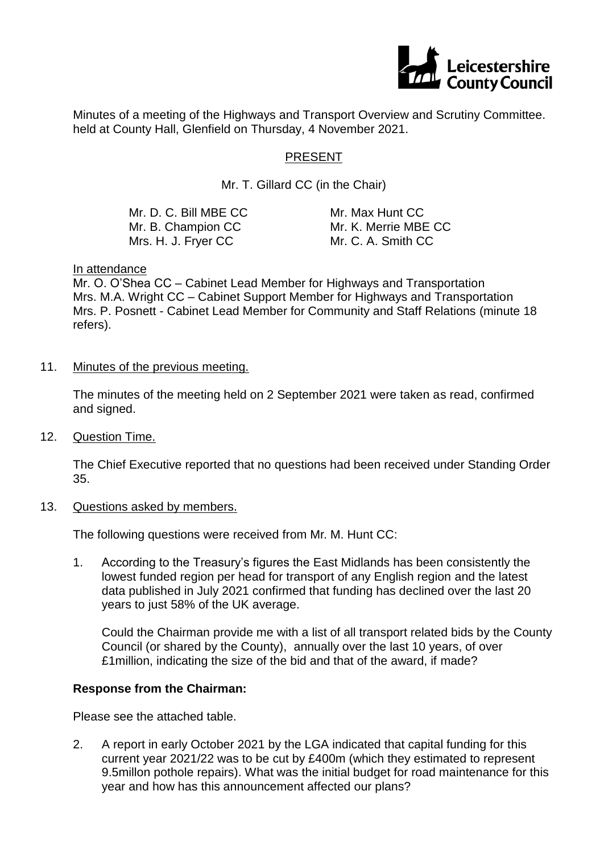

Minutes of a meeting of the Highways and Transport Overview and Scrutiny Committee. held at County Hall, Glenfield on Thursday, 4 November 2021.

# PRESENT

Mr. T. Gillard CC (in the Chair)

| Mr. D. C. Bill MBE CC | Mr. Max Hunt CC      |
|-----------------------|----------------------|
| Mr. B. Champion CC    | Mr. K. Merrie MBE CC |
| Mrs. H. J. Fryer CC . | Mr. C. A. Smith CC   |

#### In attendance

Mr. O. O'Shea CC – Cabinet Lead Member for Highways and Transportation Mrs. M.A. Wright CC – Cabinet Support Member for Highways and Transportation Mrs. P. Posnett - Cabinet Lead Member for Community and Staff Relations (minute 18 refers).

11. Minutes of the previous meeting.

The minutes of the meeting held on 2 September 2021 were taken as read, confirmed and signed.

12. Question Time.

The Chief Executive reported that no questions had been received under Standing Order 35.

#### 13. Questions asked by members.

The following questions were received from Mr. M. Hunt CC:

1. According to the Treasury's figures the East Midlands has been consistently the lowest funded region per head for transport of any English region and the latest data published in July 2021 confirmed that funding has declined over the last 20 years to just 58% of the UK average.

Could the Chairman provide me with a list of all transport related bids by the County Council (or shared by the County), annually over the last 10 years, of over £1million, indicating the size of the bid and that of the award, if made?

#### **Response from the Chairman:**

Please see the attached table.

2. A report in early October 2021 by the LGA indicated that capital funding for this current year 2021/22 was to be cut by £400m (which they estimated to represent 9.5millon pothole repairs). What was the initial budget for road maintenance for this year and how has this announcement affected our plans?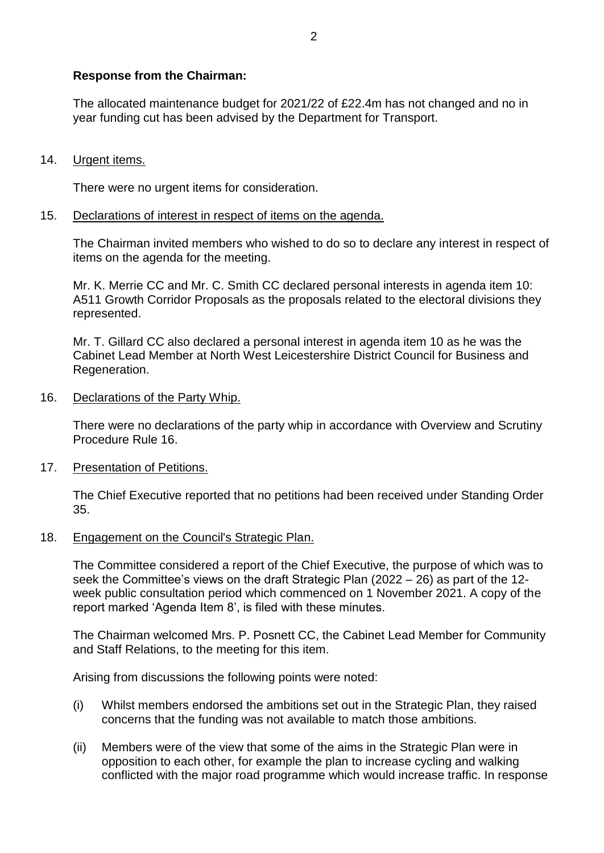# **Response from the Chairman:**

The allocated maintenance budget for 2021/22 of £22.4m has not changed and no in year funding cut has been advised by the Department for Transport.

# 14. Urgent items.

There were no urgent items for consideration.

## 15. Declarations of interest in respect of items on the agenda.

The Chairman invited members who wished to do so to declare any interest in respect of items on the agenda for the meeting.

Mr. K. Merrie CC and Mr. C. Smith CC declared personal interests in agenda item 10: A511 Growth Corridor Proposals as the proposals related to the electoral divisions they represented.

Mr. T. Gillard CC also declared a personal interest in agenda item 10 as he was the Cabinet Lead Member at North West Leicestershire District Council for Business and Regeneration.

### 16. Declarations of the Party Whip.

There were no declarations of the party whip in accordance with Overview and Scrutiny Procedure Rule 16.

## 17. Presentation of Petitions.

The Chief Executive reported that no petitions had been received under Standing Order 35.

## 18. Engagement on the Council's Strategic Plan.

The Committee considered a report of the Chief Executive, the purpose of which was to seek the Committee's views on the draft Strategic Plan (2022 – 26) as part of the 12 week public consultation period which commenced on 1 November 2021. A copy of the report marked 'Agenda Item 8', is filed with these minutes.

The Chairman welcomed Mrs. P. Posnett CC, the Cabinet Lead Member for Community and Staff Relations, to the meeting for this item.

Arising from discussions the following points were noted:

- (i) Whilst members endorsed the ambitions set out in the Strategic Plan, they raised concerns that the funding was not available to match those ambitions.
- (ii) Members were of the view that some of the aims in the Strategic Plan were in opposition to each other, for example the plan to increase cycling and walking conflicted with the major road programme which would increase traffic. In response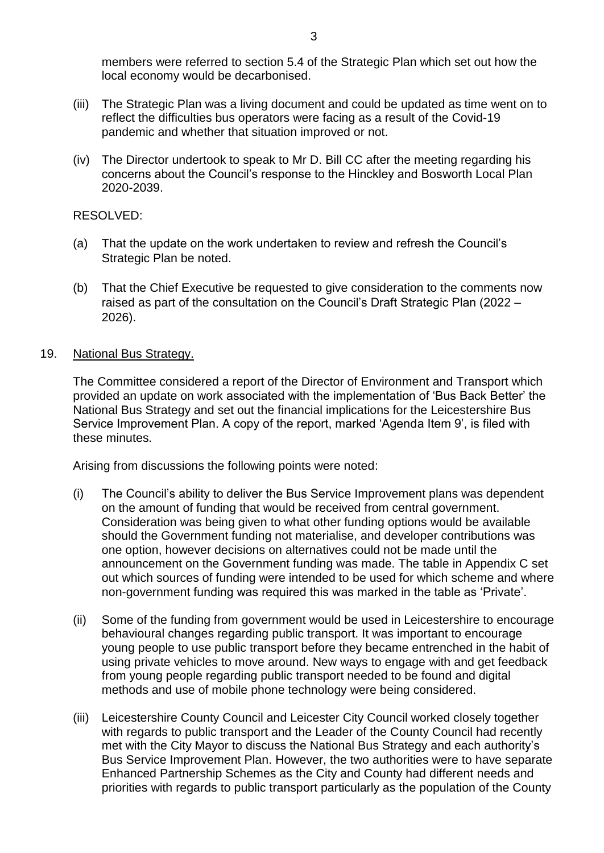members were referred to section 5.4 of the Strategic Plan which set out how the local economy would be decarbonised.

- (iii) The Strategic Plan was a living document and could be updated as time went on to reflect the difficulties bus operators were facing as a result of the Covid-19 pandemic and whether that situation improved or not.
- (iv) The Director undertook to speak to Mr D. Bill CC after the meeting regarding his concerns about the Council's response to the Hinckley and Bosworth Local Plan 2020-2039.

### RESOLVED:

- (a) That the update on the work undertaken to review and refresh the Council's Strategic Plan be noted.
- (b) That the Chief Executive be requested to give consideration to the comments now raised as part of the consultation on the Council's Draft Strategic Plan (2022 – 2026).

## 19. National Bus Strategy.

The Committee considered a report of the Director of Environment and Transport which provided an update on work associated with the implementation of 'Bus Back Better' the National Bus Strategy and set out the financial implications for the Leicestershire Bus Service Improvement Plan. A copy of the report, marked 'Agenda Item 9', is filed with these minutes.

Arising from discussions the following points were noted:

- (i) The Council's ability to deliver the Bus Service Improvement plans was dependent on the amount of funding that would be received from central government. Consideration was being given to what other funding options would be available should the Government funding not materialise, and developer contributions was one option, however decisions on alternatives could not be made until the announcement on the Government funding was made. The table in Appendix C set out which sources of funding were intended to be used for which scheme and where non-government funding was required this was marked in the table as 'Private'.
- (ii) Some of the funding from government would be used in Leicestershire to encourage behavioural changes regarding public transport. It was important to encourage young people to use public transport before they became entrenched in the habit of using private vehicles to move around. New ways to engage with and get feedback from young people regarding public transport needed to be found and digital methods and use of mobile phone technology were being considered.
- (iii) Leicestershire County Council and Leicester City Council worked closely together with regards to public transport and the Leader of the County Council had recently met with the City Mayor to discuss the National Bus Strategy and each authority's Bus Service Improvement Plan. However, the two authorities were to have separate Enhanced Partnership Schemes as the City and County had different needs and priorities with regards to public transport particularly as the population of the County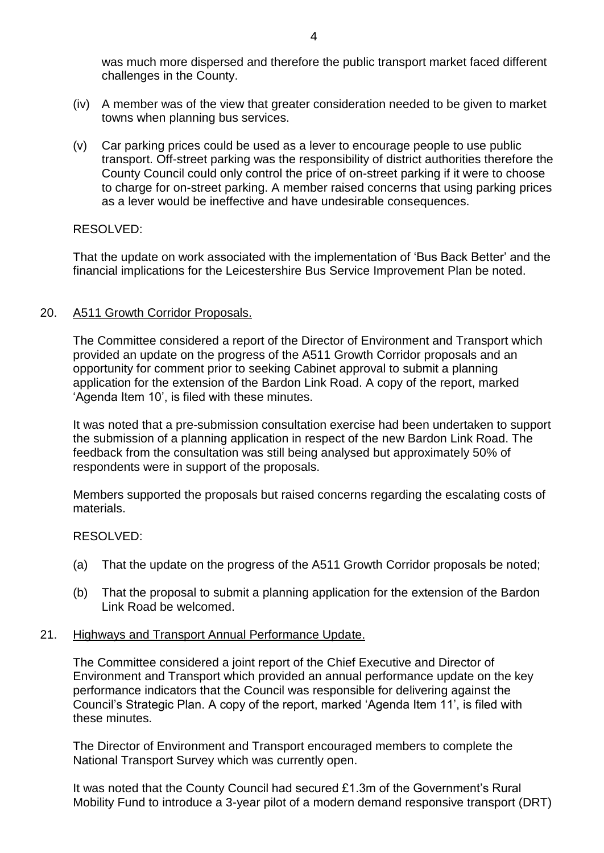was much more dispersed and therefore the public transport market faced different challenges in the County.

- (iv) A member was of the view that greater consideration needed to be given to market towns when planning bus services.
- (v) Car parking prices could be used as a lever to encourage people to use public transport. Off-street parking was the responsibility of district authorities therefore the County Council could only control the price of on-street parking if it were to choose to charge for on-street parking. A member raised concerns that using parking prices as a lever would be ineffective and have undesirable consequences.

## RESOLVED:

That the update on work associated with the implementation of 'Bus Back Better' and the financial implications for the Leicestershire Bus Service Improvement Plan be noted.

### 20. A511 Growth Corridor Proposals.

The Committee considered a report of the Director of Environment and Transport which provided an update on the progress of the A511 Growth Corridor proposals and an opportunity for comment prior to seeking Cabinet approval to submit a planning application for the extension of the Bardon Link Road. A copy of the report, marked 'Agenda Item 10', is filed with these minutes.

It was noted that a pre-submission consultation exercise had been undertaken to support the submission of a planning application in respect of the new Bardon Link Road. The feedback from the consultation was still being analysed but approximately 50% of respondents were in support of the proposals.

Members supported the proposals but raised concerns regarding the escalating costs of materials.

#### RESOLVED:

- (a) That the update on the progress of the A511 Growth Corridor proposals be noted;
- (b) That the proposal to submit a planning application for the extension of the Bardon Link Road be welcomed.

#### 21. Highways and Transport Annual Performance Update.

The Committee considered a joint report of the Chief Executive and Director of Environment and Transport which provided an annual performance update on the key performance indicators that the Council was responsible for delivering against the Council's Strategic Plan. A copy of the report, marked 'Agenda Item 11', is filed with these minutes.

The Director of Environment and Transport encouraged members to complete the National Transport Survey which was currently open.

It was noted that the County Council had secured £1.3m of the Government's Rural Mobility Fund to introduce a 3-year pilot of a modern demand responsive transport (DRT)